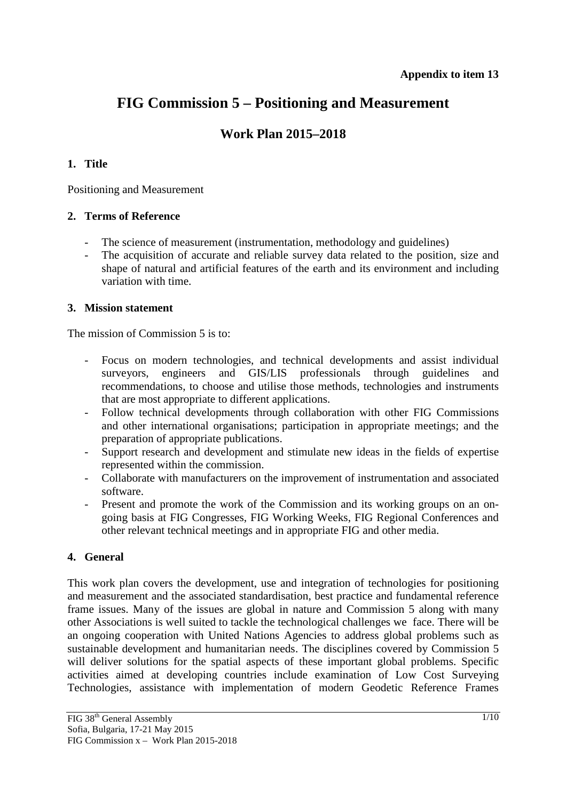# **FIG Commission 5 – Positioning and Measurement**

# **Work Plan 2015–2018**

# **1. Title**

Positioning and Measurement

# **2. Terms of Reference**

- The science of measurement (instrumentation, methodology and guidelines)
- The acquisition of accurate and reliable survey data related to the position, size and shape of natural and artificial features of the earth and its environment and including variation with time.

# **3. Mission statement**

The mission of Commission 5 is to:

- Focus on modern technologies, and technical developments and assist individual surveyors, engineers and GIS/LIS professionals through guidelines and recommendations, to choose and utilise those methods, technologies and instruments that are most appropriate to different applications.
- Follow technical developments through collaboration with other FIG Commissions and other international organisations; participation in appropriate meetings; and the preparation of appropriate publications.
- Support research and development and stimulate new ideas in the fields of expertise represented within the commission.
- Collaborate with manufacturers on the improvement of instrumentation and associated software.
- Present and promote the work of the Commission and its working groups on an ongoing basis at FIG Congresses, FIG Working Weeks, FIG Regional Conferences and other relevant technical meetings and in appropriate FIG and other media.

# **4. General**

This work plan covers the development, use and integration of technologies for positioning and measurement and the associated standardisation, best practice and fundamental reference frame issues. Many of the issues are global in nature and Commission 5 along with many other Associations is well suited to tackle the technological challenges we face. There will be an ongoing cooperation with United Nations Agencies to address global problems such as sustainable development and humanitarian needs. The disciplines covered by Commission 5 will deliver solutions for the spatial aspects of these important global problems. Specific activities aimed at developing countries include examination of Low Cost Surveying Technologies, assistance with implementation of modern Geodetic Reference Frames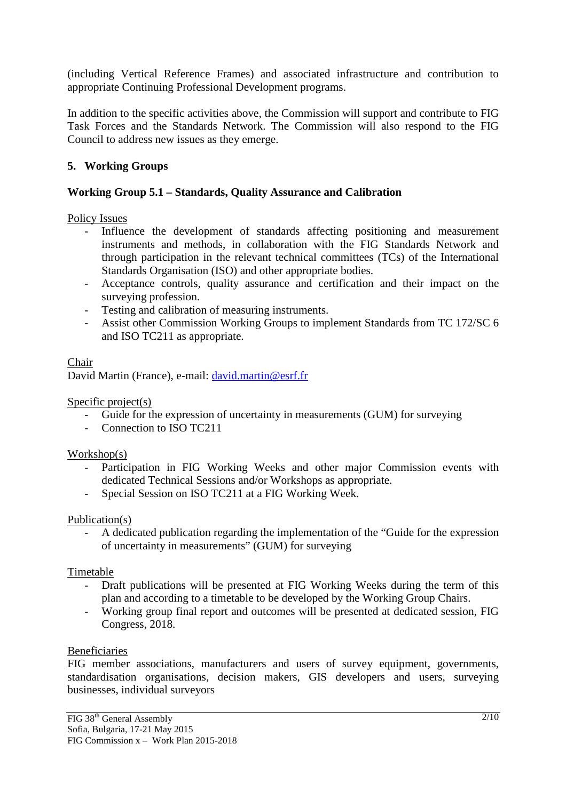(including Vertical Reference Frames) and associated infrastructure and contribution to appropriate Continuing Professional Development programs.

In addition to the specific activities above, the Commission will support and contribute to FIG Task Forces and the Standards Network. The Commission will also respond to the FIG Council to address new issues as they emerge.

# **5. Working Groups**

# **Working Group 5.1 – Standards, Quality Assurance and Calibration**

Policy Issues

- Influence the development of standards affecting positioning and measurement instruments and methods, in collaboration with the FIG Standards Network and through participation in the relevant technical committees (TCs) of the International Standards Organisation (ISO) and other appropriate bodies.
- Acceptance controls, quality assurance and certification and their impact on the surveying profession.
- Testing and calibration of measuring instruments.
- Assist other Commission Working Groups to implement Standards from TC 172/SC 6 and ISO TC211 as appropriate.

# Chair

David Martin (France), e-mail: david.martin@esrf.fr

Specific project(s)

- Guide for the expression of uncertainty in measurements (GUM) for surveying
- Connection to ISO TC211

# Workshop(s)

- Participation in FIG Working Weeks and other major Commission events with dedicated Technical Sessions and/or Workshops as appropriate.
- Special Session on ISO TC211 at a FIG Working Week.

# Publication(s)

- A dedicated publication regarding the implementation of the "Guide for the expression of uncertainty in measurements" (GUM) for surveying

# Timetable

- Draft publications will be presented at FIG Working Weeks during the term of this plan and according to a timetable to be developed by the Working Group Chairs.
- Working group final report and outcomes will be presented at dedicated session, FIG Congress, 2018.

# Beneficiaries

FIG member associations, manufacturers and users of survey equipment, governments, standardisation organisations, decision makers, GIS developers and users, surveying businesses, individual surveyors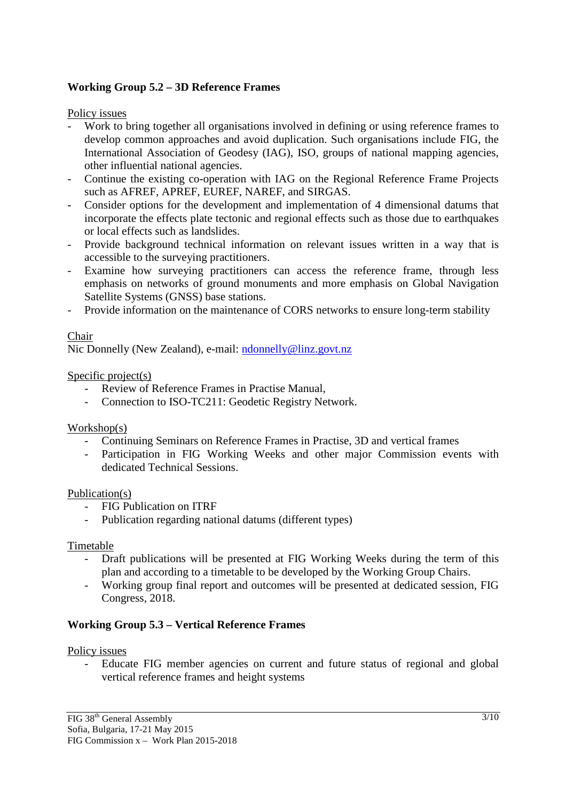# **Working Group 5.2 – 3D Reference Frames**

Policy issues

- Work to bring together all organisations involved in defining or using reference frames to develop common approaches and avoid duplication. Such organisations include FIG, the International Association of Geodesy (IAG), ISO, groups of national mapping agencies, other influential national agencies.
- Continue the existing co-operation with IAG on the Regional Reference Frame Projects such as AFREF, APREF, EUREF, NAREF, and SIRGAS.
- Consider options for the development and implementation of 4 dimensional datums that incorporate the effects plate tectonic and regional effects such as those due to earthquakes or local effects such as landslides.
- Provide background technical information on relevant issues written in a way that is accessible to the surveying practitioners.
- Examine how surveying practitioners can access the reference frame, through less emphasis on networks of ground monuments and more emphasis on Global Navigation Satellite Systems (GNSS) base stations.
- Provide information on the maintenance of CORS networks to ensure long-term stability

# Chair

Nic Donnelly (New Zealand), e-mail: ndonnelly@linz.govt.nz

# Specific project(s)

- Review of Reference Frames in Practise Manual,
- Connection to ISO-TC211: Geodetic Registry Network.

# Workshop(s)

- Continuing Seminars on Reference Frames in Practise, 3D and vertical frames
- Participation in FIG Working Weeks and other major Commission events with dedicated Technical Sessions.

# Publication(s)

- FIG Publication on ITRF
- Publication regarding national datums (different types)

# Timetable

- Draft publications will be presented at FIG Working Weeks during the term of this plan and according to a timetable to be developed by the Working Group Chairs.
- Working group final report and outcomes will be presented at dedicated session, FIG Congress, 2018.

# **Working Group 5.3 – Vertical Reference Frames**

# Policy issues

- Educate FIG member agencies on current and future status of regional and global vertical reference frames and height systems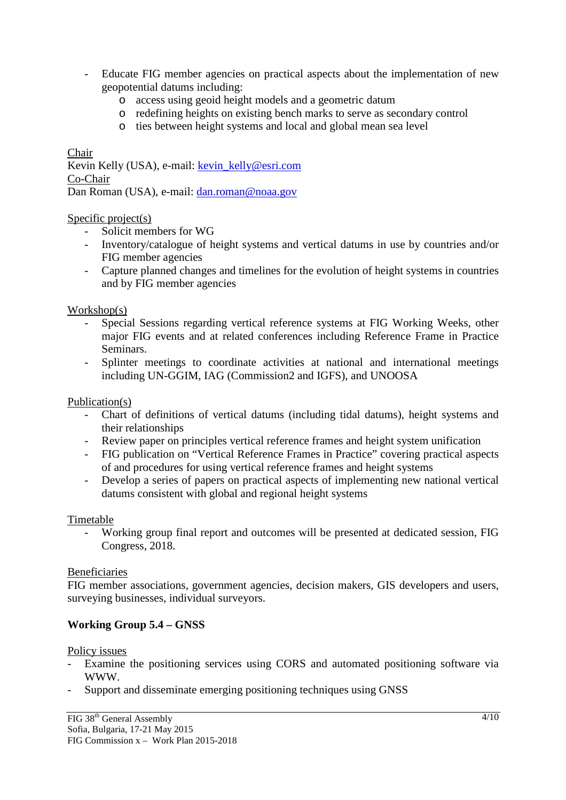- Educate FIG member agencies on practical aspects about the implementation of new geopotential datums including:
	- o access using geoid height models and a geometric datum
	- o redefining heights on existing bench marks to serve as secondary control
	- o ties between height systems and local and global mean sea level

# Chair

Kevin Kelly (USA), e-mail: kevin\_kelly@esri.com Co-Chair Dan Roman (USA), e-mail: dan.roman@noaa.gov

#### Specific project(s)

- Solicit members for WG
- Inventory/catalogue of height systems and vertical datums in use by countries and/or FIG member agencies
- Capture planned changes and timelines for the evolution of height systems in countries and by FIG member agencies

#### Workshop(s)

- Special Sessions regarding vertical reference systems at FIG Working Weeks, other major FIG events and at related conferences including Reference Frame in Practice Seminars.
- Splinter meetings to coordinate activities at national and international meetings including UN-GGIM, IAG (Commission2 and IGFS), and UNOOSA

#### Publication(s)

- Chart of definitions of vertical datums (including tidal datums), height systems and their relationships
- Review paper on principles vertical reference frames and height system unification
- FIG publication on "Vertical Reference Frames in Practice" covering practical aspects of and procedures for using vertical reference frames and height systems
- Develop a series of papers on practical aspects of implementing new national vertical datums consistent with global and regional height systems

#### Timetable

- Working group final report and outcomes will be presented at dedicated session, FIG Congress, 2018.

#### Beneficiaries

FIG member associations, government agencies, decision makers, GIS developers and users, surveying businesses, individual surveyors.

# **Working Group 5.4 – GNSS**

#### Policy issues

- Examine the positioning services using CORS and automated positioning software via WWW.
- Support and disseminate emerging positioning techniques using GNSS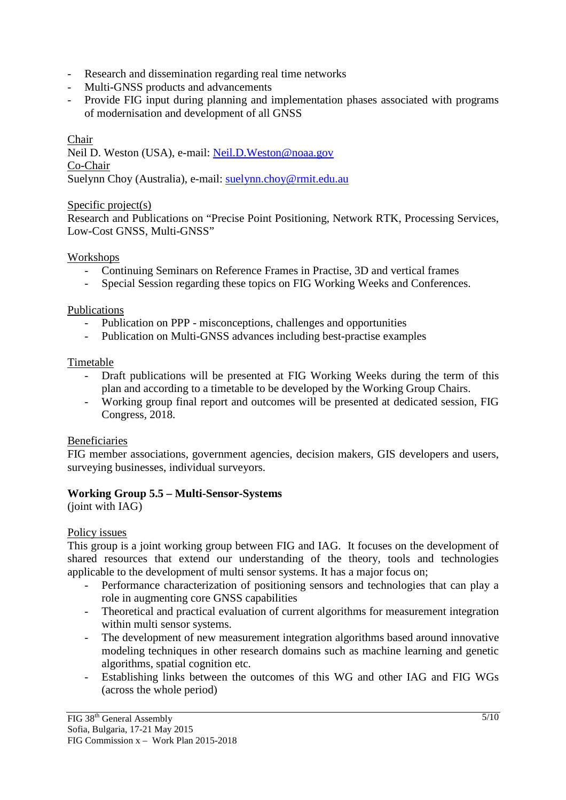- Research and dissemination regarding real time networks
- Multi-GNSS products and advancements
- Provide FIG input during planning and implementation phases associated with programs of modernisation and development of all GNSS

Chair Neil D. Weston (USA), e-mail: Neil.D.Weston@noaa.gov Co-Chair Suelynn Choy (Australia), e-mail: suelynn.choy@rmit.edu.au

#### Specific project(s)

Research and Publications on "Precise Point Positioning, Network RTK, Processing Services, Low-Cost GNSS, Multi-GNSS"

# Workshops

- Continuing Seminars on Reference Frames in Practise, 3D and vertical frames
- Special Session regarding these topics on FIG Working Weeks and Conferences.

#### Publications

- Publication on PPP misconceptions, challenges and opportunities
- Publication on Multi-GNSS advances including best-practise examples

#### Timetable

- Draft publications will be presented at FIG Working Weeks during the term of this plan and according to a timetable to be developed by the Working Group Chairs.
- Working group final report and outcomes will be presented at dedicated session, FIG Congress, 2018.

# Beneficiaries

FIG member associations, government agencies, decision makers, GIS developers and users, surveying businesses, individual surveyors.

# **Working Group 5.5 – Multi-Sensor-Systems**

(joint with IAG)

# Policy issues

This group is a joint working group between FIG and IAG. It focuses on the development of shared resources that extend our understanding of the theory, tools and technologies applicable to the development of multi sensor systems. It has a major focus on;

- Performance characterization of positioning sensors and technologies that can play a role in augmenting core GNSS capabilities
- Theoretical and practical evaluation of current algorithms for measurement integration within multi sensor systems.
- The development of new measurement integration algorithms based around innovative modeling techniques in other research domains such as machine learning and genetic algorithms, spatial cognition etc.
- Establishing links between the outcomes of this WG and other IAG and FIG WGs (across the whole period)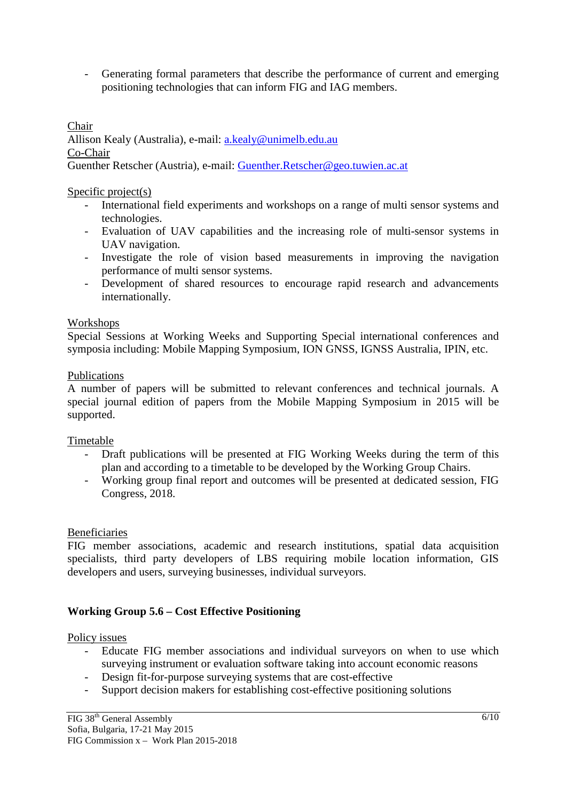- Generating formal parameters that describe the performance of current and emerging positioning technologies that can inform FIG and IAG members.

Chair Allison Kealy (Australia), e-mail: a.kealy@unimelb.edu.au Co-Chair Guenther Retscher (Austria), e-mail: Guenther.Retscher@geo.tuwien.ac.at

Specific project(s)

- International field experiments and workshops on a range of multi sensor systems and technologies.
- Evaluation of UAV capabilities and the increasing role of multi-sensor systems in UAV navigation.
- Investigate the role of vision based measurements in improving the navigation performance of multi sensor systems.
- Development of shared resources to encourage rapid research and advancements internationally.

# Workshops

Special Sessions at Working Weeks and Supporting Special international conferences and symposia including: Mobile Mapping Symposium, ION GNSS, IGNSS Australia, IPIN, etc.

#### Publications

A number of papers will be submitted to relevant conferences and technical journals. A special journal edition of papers from the Mobile Mapping Symposium in 2015 will be supported.

# Timetable

- Draft publications will be presented at FIG Working Weeks during the term of this plan and according to a timetable to be developed by the Working Group Chairs.
- Working group final report and outcomes will be presented at dedicated session, FIG Congress, 2018.

# Beneficiaries

FIG member associations, academic and research institutions, spatial data acquisition specialists, third party developers of LBS requiring mobile location information, GIS developers and users, surveying businesses, individual surveyors.

# **Working Group 5.6 – Cost Effective Positioning**

#### Policy issues

- Educate FIG member associations and individual surveyors on when to use which surveying instrument or evaluation software taking into account economic reasons
- Design fit-for-purpose surveying systems that are cost-effective
- Support decision makers for establishing cost-effective positioning solutions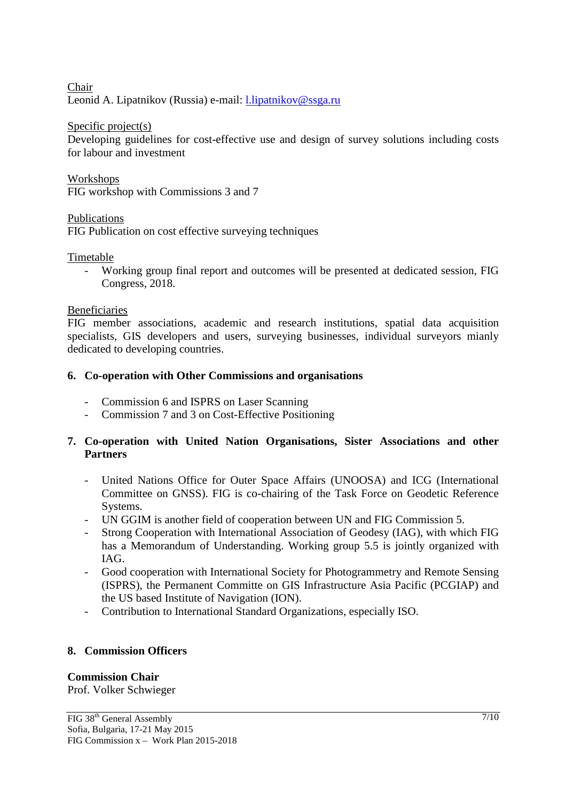Chair Leonid A. Lipatnikov (Russia) e-mail: l.lipatnikov@ssga.ru

Specific project(s)

Developing guidelines for cost-effective use and design of survey solutions including costs for labour and investment

Workshops FIG workshop with Commissions 3 and 7

Publications

FIG Publication on cost effective surveying techniques

Timetable

- Working group final report and outcomes will be presented at dedicated session, FIG Congress, 2018.

# Beneficiaries

FIG member associations, academic and research institutions, spatial data acquisition specialists, GIS developers and users, surveying businesses, individual surveyors mianly dedicated to developing countries.

# **6. Co-operation with Other Commissions and organisations**

- Commission 6 and ISPRS on Laser Scanning
- Commission 7 and 3 on Cost-Effective Positioning

# **7. Co-operation with United Nation Organisations, Sister Associations and other Partners**

- United Nations Office for Outer Space Affairs (UNOOSA) and ICG (International Committee on GNSS). FIG is co-chairing of the Task Force on Geodetic Reference Systems.
- UN GGIM is another field of cooperation between UN and FIG Commission 5.
- Strong Cooperation with International Association of Geodesy (IAG), with which FIG has a Memorandum of Understanding. Working group 5.5 is jointly organized with IAG.
- Good cooperation with International Society for Photogrammetry and Remote Sensing (ISPRS), the Permanent Committe on GIS Infrastructure Asia Pacific (PCGIAP) and the US based Institute of Navigation (ION).
- Contribution to International Standard Organizations, especially ISO.

# **8. Commission Officers**

# **Commission Chair**

Prof. Volker Schwieger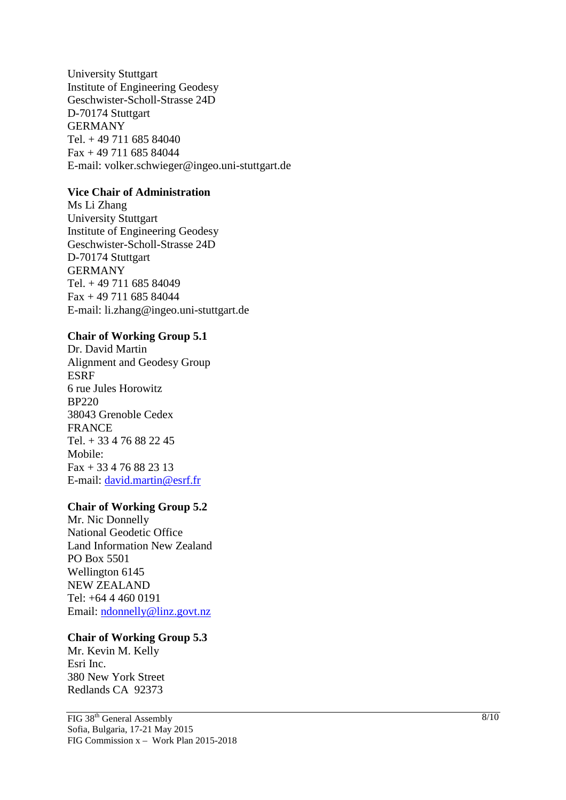University Stuttgart Institute of Engineering Geodesy Geschwister-Scholl-Strasse 24D D-70174 Stuttgart GERMANY Tel. + 49 711 685 84040 Fax + 49 711 685 84044 E-mail: volker.schwieger@ingeo.uni-stuttgart.de

# **Vice Chair of Administration**

Ms Li Zhang University Stuttgart Institute of Engineering Geodesy Geschwister-Scholl-Strasse 24D D-70174 Stuttgart GERMANY Tel. + 49 711 685 84049  $Fax + 4971168584044$ E-mail: li.zhang@ingeo.uni-stuttgart.de

#### **Chair of Working Group 5.1**

Dr. David Martin Alignment and Geodesy Group ESRF 6 rue Jules Horowitz BP220 38043 Grenoble Cedex FRANCE Tel. + 33 4 76 88 22 45 Mobile:  $Fax + 33476882313$ E-mail: david.martin@esrf.fr

#### **Chair of Working Group 5.2**

Mr. Nic Donnelly National Geodetic Office Land Information New Zealand PO Box 5501 Wellington 6145 NEW ZEALAND Tel: +64 4 460 0191 Email: ndonnelly@linz.govt.nz

#### **Chair of Working Group 5.3**

Mr. Kevin M. Kelly Esri Inc. 380 New York Street Redlands CA 92373

FIG 38th General Assembly Sofia, Bulgaria, 17-21 May 2015 FIG Commission x – Work Plan 2015-2018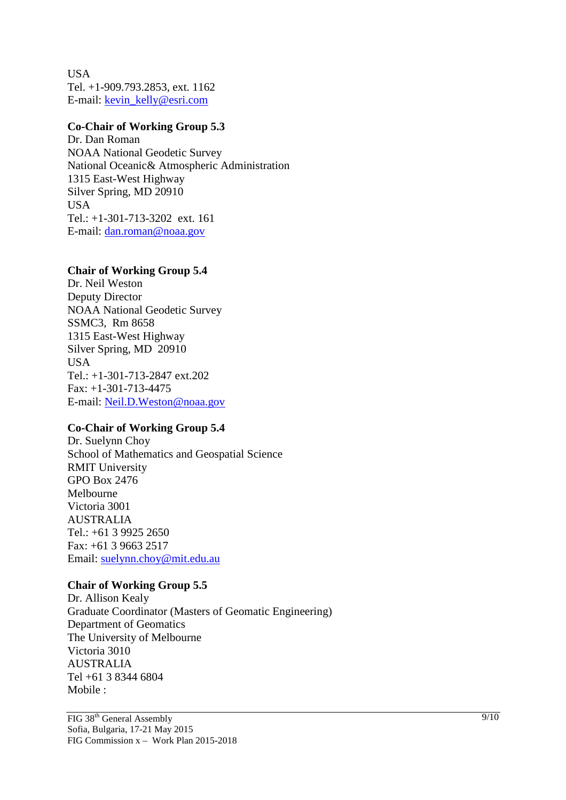USA Tel. +1-909.793.2853, ext. 1162 E-mail: kevin\_kelly@esri.com

#### **Co-Chair of Working Group 5.3**

Dr. Dan Roman NOAA National Geodetic Survey National Oceanic& Atmospheric Administration 1315 East-West Highway Silver Spring, MD 20910 **USA** Tel.: +1-301-713-3202 ext. 161 E-mail: dan.roman@noaa.gov

#### **Chair of Working Group 5.4**

Dr. Neil Weston Deputy Director NOAA National Geodetic Survey SSMC3, Rm 8658 1315 East-West Highway Silver Spring, MD 20910 **USA** Tel.: +1-301-713-2847 ext.202 Fax: +1-301-713-4475 E-mail: Neil.D.Weston@noaa.gov

# **Co-Chair of Working Group 5.4**

Dr. Suelynn Choy School of Mathematics and Geospatial Science RMIT University GPO Box 2476 Melbourne Victoria 3001 AUSTRALIA Tel.: +61 3 9925 2650 Fax: +61 3 9663 2517 Email: suelynn.choy@mit.edu.au

# **Chair of Working Group 5.5**

Dr. Allison Kealy Graduate Coordinator (Masters of Geomatic Engineering) Department of Geomatics The University of Melbourne Victoria 3010 AUSTRALIA Tel +61 3 8344 6804 Mobile :